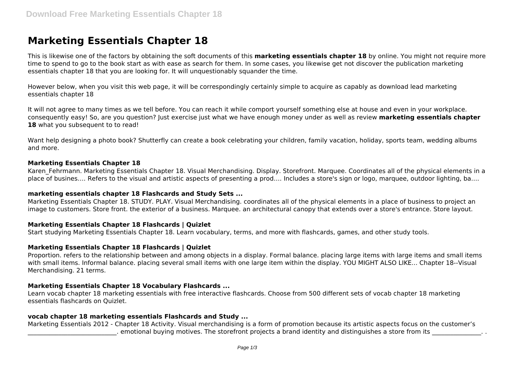# **Marketing Essentials Chapter 18**

This is likewise one of the factors by obtaining the soft documents of this **marketing essentials chapter 18** by online. You might not require more time to spend to go to the book start as with ease as search for them. In some cases, you likewise get not discover the publication marketing essentials chapter 18 that you are looking for. It will unquestionably squander the time.

However below, when you visit this web page, it will be correspondingly certainly simple to acquire as capably as download lead marketing essentials chapter 18

It will not agree to many times as we tell before. You can reach it while comport yourself something else at house and even in your workplace. consequently easy! So, are you question? Just exercise just what we have enough money under as well as review **marketing essentials chapter** 18 what you subsequent to to read!

Want help designing a photo book? Shutterfly can create a book celebrating your children, family vacation, holiday, sports team, wedding albums and more.

### **Marketing Essentials Chapter 18**

Karen Fehrmann. Marketing Essentials Chapter 18. Visual Merchandising. Display. Storefront. Marquee. Coordinates all of the physical elements in a place of busines…. Refers to the visual and artistic aspects of presenting a prod…. Includes a store's sign or logo, marquee, outdoor lighting, ba….

#### **marketing essentials chapter 18 Flashcards and Study Sets ...**

Marketing Essentials Chapter 18. STUDY. PLAY. Visual Merchandising. coordinates all of the physical elements in a place of business to project an image to customers. Store front. the exterior of a business. Marquee. an architectural canopy that extends over a store's entrance. Store layout.

### **Marketing Essentials Chapter 18 Flashcards | Quizlet**

Start studying Marketing Essentials Chapter 18. Learn vocabulary, terms, and more with flashcards, games, and other study tools.

#### **Marketing Essentials Chapter 18 Flashcards | Quizlet**

Proportion. refers to the relationship between and among objects in a display. Formal balance. placing large items with large items and small items with small items. Informal balance. placing several small items with one large item within the display. YOU MIGHT ALSO LIKE... Chapter 18--Visual Merchandising. 21 terms.

### **Marketing Essentials Chapter 18 Vocabulary Flashcards ...**

Learn vocab chapter 18 marketing essentials with free interactive flashcards. Choose from 500 different sets of vocab chapter 18 marketing essentials flashcards on Quizlet.

### **vocab chapter 18 marketing essentials Flashcards and Study ...**

Marketing Essentials 2012 - Chapter 18 Activity. Visual merchandising is a form of promotion because its artistic aspects focus on the customer's . emotional buying motives. The storefront projects a brand identity and distinguishes a store from its  $\ldots$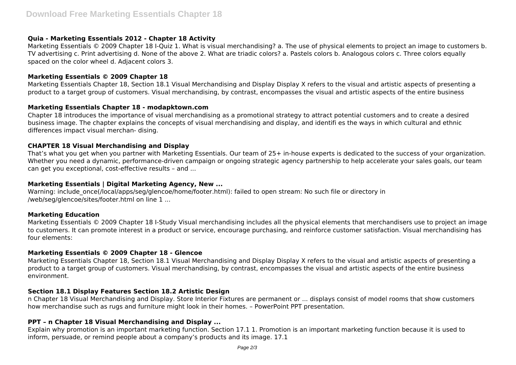## **Quia - Marketing Essentials 2012 - Chapter 18 Activity**

Marketing Essentials © 2009 Chapter 18 I-Quiz 1. What is visual merchandising? a. The use of physical elements to project an image to customers b. TV advertising c. Print advertising d. None of the above 2. What are triadic colors? a. Pastels colors b. Analogous colors c. Three colors equally spaced on the color wheel d. Adjacent colors 3.

### **Marketing Essentials © 2009 Chapter 18**

Marketing Essentials Chapter 18, Section 18.1 Visual Merchandising and Display Display X refers to the visual and artistic aspects of presenting a product to a target group of customers. Visual merchandising, by contrast, encompasses the visual and artistic aspects of the entire business

### **Marketing Essentials Chapter 18 - modapktown.com**

Chapter 18 introduces the importance of visual merchandising as a promotional strategy to attract potential customers and to create a desired business image. The chapter explains the concepts of visual merchandising and display, and identifi es the ways in which cultural and ethnic differences impact visual merchan- dising.

### **CHAPTER 18 Visual Merchandising and Display**

That's what you get when you partner with Marketing Essentials. Our team of 25+ in-house experts is dedicated to the success of your organization. Whether you need a dynamic, performance-driven campaign or ongoing strategic agency partnership to help accelerate your sales goals, our team can get you exceptional, cost-effective results – and ...

### **Marketing Essentials | Digital Marketing Agency, New ...**

Warning: include\_once(/local/apps/seg/glencoe/home/footer.html): failed to open stream: No such file or directory in /web/seg/glencoe/sites/footer.html on line 1 ...

### **Marketing Education**

Marketing Essentials © 2009 Chapter 18 I-Study Visual merchandising includes all the physical elements that merchandisers use to project an image to customers. It can promote interest in a product or service, encourage purchasing, and reinforce customer satisfaction. Visual merchandising has four elements:

### **Marketing Essentials © 2009 Chapter 18 - Glencoe**

Marketing Essentials Chapter 18, Section 18.1 Visual Merchandising and Display Display X refers to the visual and artistic aspects of presenting a product to a target group of customers. Visual merchandising, by contrast, encompasses the visual and artistic aspects of the entire business environment.

## **Section 18.1 Display Features Section 18.2 Artistic Design**

n Chapter 18 Visual Merchandising and Display. Store Interior Fixtures are permanent or ... displays consist of model rooms that show customers how merchandise such as rugs and furniture might look in their homes. – PowerPoint PPT presentation.

### **PPT – n Chapter 18 Visual Merchandising and Display ...**

Explain why promotion is an important marketing function. Section 17.1 1. Promotion is an important marketing function because it is used to inform, persuade, or remind people about a company's products and its image. 17.1